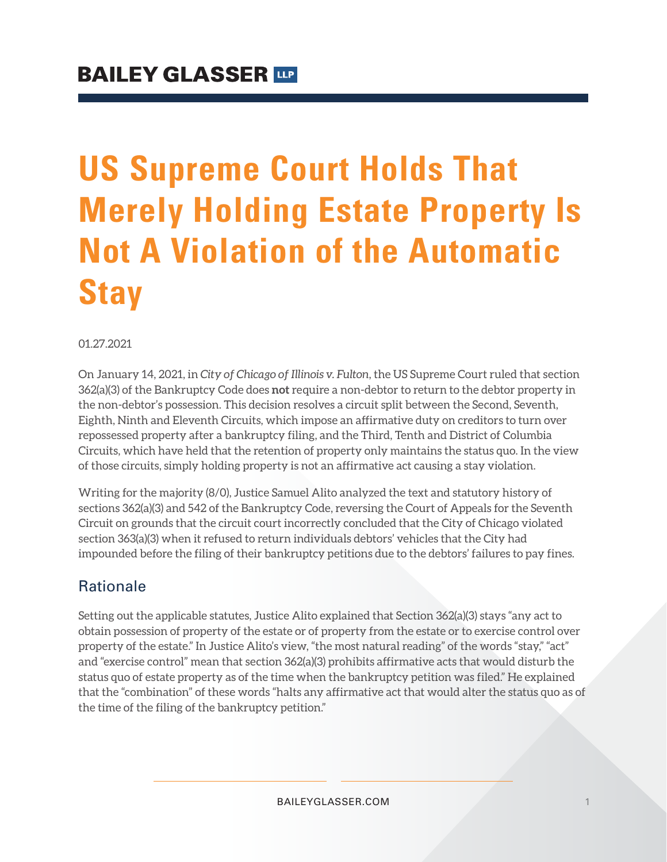# **US Supreme Court Holds That Merely Holding Estate Property Is Not A Violation of the Automatic Stay**

#### 01.27.2021

On January 14, 2021, in *City of Chicago of Illinois v. Fulton*, the US Supreme Court ruled that section 362(a)(3) of the Bankruptcy Code does **not** require a non-debtor to return to the debtor property in the non-debtor's possession. This decision resolves a circuit split between the Second, Seventh, Eighth, Ninth and Eleventh Circuits, which impose an affirmative duty on creditors to turn over repossessed property after a bankruptcy filing, and the Third, Tenth and District of Columbia Circuits, which have held that the retention of property only maintains the status quo. In the view of those circuits, simply holding property is not an affirmative act causing a stay violation.

Writing for the majority (8/0), Justice Samuel Alito analyzed the text and statutory history of sections 362(a)(3) and 542 of the Bankruptcy Code, reversing the Court of Appeals for the Seventh Circuit on grounds that the circuit court incorrectly concluded that the City of Chicago violated section 363(a)(3) when it refused to return individuals debtors' vehicles that the City had impounded before the filing of their bankruptcy petitions due to the debtors' failures to pay fines.

## Rationale

Setting out the applicable statutes, Justice Alito explained that Section 362(a)(3) stays "any act to obtain possession of property of the estate or of property from the estate or to exercise control over property of the estate." In Justice Alito's view, "the most natural reading" of the words "stay," "act" and "exercise control" mean that section 362(a)(3) prohibits affirmative acts that would disturb the status quo of estate property as of the time when the bankruptcy petition was filed." He explained that the "combination" of these words "halts any affirmative act that would alter the status quo as of the time of the filing of the bankruptcy petition."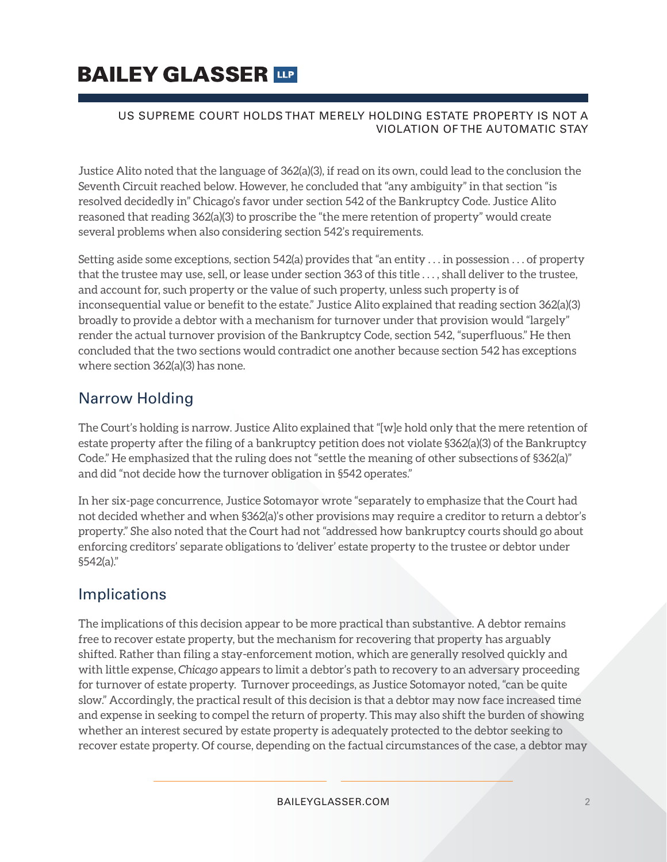# **BAILEY GLASSER TIP**

#### US SUPREME COURT HOLDS THAT MERELY HOLDING ESTATE PROPERTY IS NOT A VIOLATION OF THE AUTOMATIC STAY

Justice Alito noted that the language of 362(a)(3), if read on its own, could lead to the conclusion the Seventh Circuit reached below. However, he concluded that "any ambiguity" in that section "is resolved decidedly in" Chicago's favor under section 542 of the Bankruptcy Code. Justice Alito reasoned that reading 362(a)(3) to proscribe the "the mere retention of property" would create several problems when also considering section 542's requirements.

Setting aside some exceptions, section 542(a) provides that "an entity . . . in possession . . . of property that the trustee may use, sell, or lease under section 363 of this title . . . , shall deliver to the trustee, and account for, such property or the value of such property, unless such property is of inconsequential value or benefit to the estate." Justice Alito explained that reading section 362(a)(3) broadly to provide a debtor with a mechanism for turnover under that provision would "largely" render the actual turnover provision of the Bankruptcy Code, section 542, "superfluous." He then concluded that the two sections would contradict one another because section 542 has exceptions where section 362(a)(3) has none.

# Narrow Holding

The Court's holding is narrow. Justice Alito explained that "[w]e hold only that the mere retention of estate property after the filing of a bankruptcy petition does not violate §362(a)(3) of the Bankruptcy Code." He emphasized that the ruling does not "settle the meaning of other subsections of §362(a)" and did "not decide how the turnover obligation in §542 operates."

In her six-page concurrence, Justice Sotomayor wrote "separately to emphasize that the Court had not decided whether and when §362(a)'s other provisions may require a creditor to return a debtor's property." She also noted that the Court had not "addressed how bankruptcy courts should go about enforcing creditors' separate obligations to 'deliver' estate property to the trustee or debtor under §542(a)."

## Implications

The implications of this decision appear to be more practical than substantive. A debtor remains free to recover estate property, but the mechanism for recovering that property has arguably shifted. Rather than filing a stay-enforcement motion, which are generally resolved quickly and with little expense, *Chicago* appears to limit a debtor's path to recovery to an adversary proceeding for turnover of estate property. Turnover proceedings, as Justice Sotomayor noted, "can be quite slow." Accordingly, the practical result of this decision is that a debtor may now face increased time and expense in seeking to compel the return of property. This may also shift the burden of showing whether an interest secured by estate property is adequately protected to the debtor seeking to recover estate property. Of course, depending on the factual circumstances of the case, a debtor may